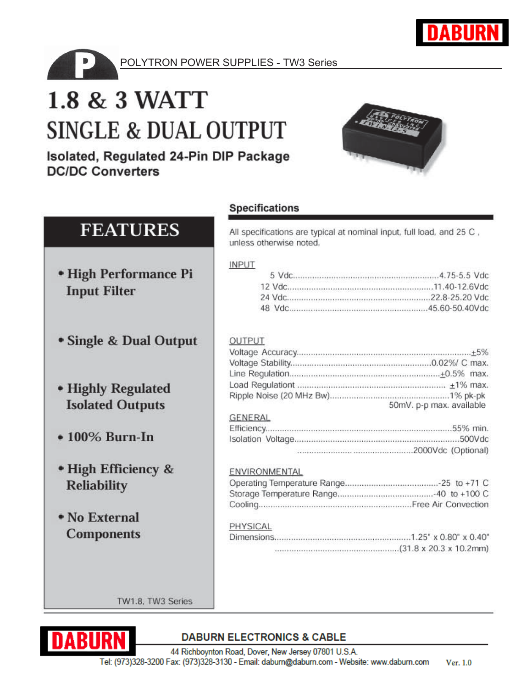

POLYTRON POWER SUPPLIES - TW3 Series

# 1.8 & 3 WATT **SINGLE & DUAL OUTPUT**

Isolated, Regulated 24-Pin DIP Package **DC/DC Converters** 



# **FEATURES**

- High Performance Pi **Input Filter**
- Single & Dual Output
- Highly Regulated **Isolated Outputs**
- $\bullet$  100% Burn-In
- High Efficiency & **Reliability**
- No External **Components**

# **Specifications**

All specifications are typical at nominal input, full load, and 25 C, unless otherwise noted.

#### **INPUT**

| 2010년 2010년 1월 2010년 2010년 2월 2010년 2월 2010년 2월 2010년 2월 2010년 2월 2010년 2월 2010년 2월 2010년 2월 2010년 2<br>TAN WATER SENSORIA SENSE ANG DISTRIKTO NG MATERIAL NG MATERIAL SA KATALINA |  |
|------------------------------------------------------------------------------------------------------------------------------------------------------------------------------------|--|
|                                                                                                                                                                                    |  |
|                                                                                                                                                                                    |  |

#### **OUTPUT**

| 50mV. p-p max. available |
|--------------------------|

#### **GENERAL**

#### ENVIRONMENTAL

#### PHYSICAL

| 나는 아이들은 아이들이 나서 아이들이 아이들이 아이들은 아이들이 아이들이 아이들이 아니라 아이들이 아이들이 아이들이 아이들이 아이들이 아이들이 아니라. |  |
|--------------------------------------------------------------------------------------|--|

TW1.8, TW3 Series



## **DABURN ELECTRONICS & CABLE**